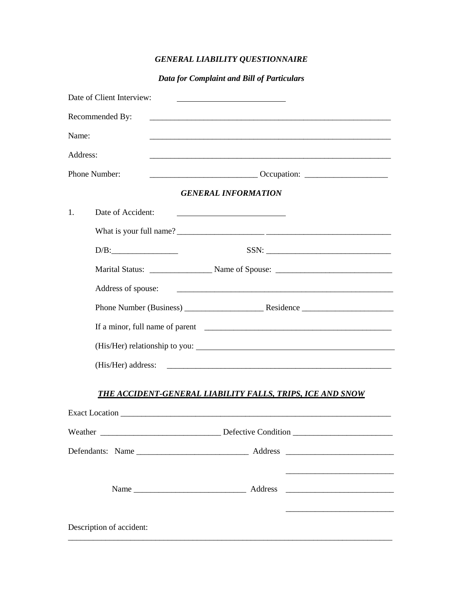# *GENERAL LIABILITY QUESTIONNAIRE*

## *Data for Complaint and Bill of Particulars*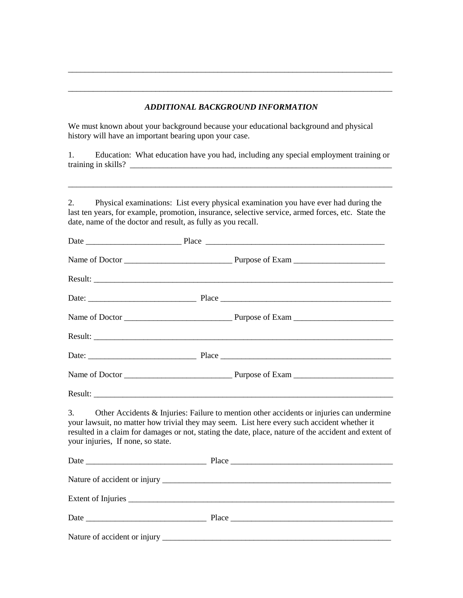#### *ADDITIONAL BACKGROUND INFORMATION*

\_\_\_\_\_\_\_\_\_\_\_\_\_\_\_\_\_\_\_\_\_\_\_\_\_\_\_\_\_\_\_\_\_\_\_\_\_\_\_\_\_\_\_\_\_\_\_\_\_\_\_\_\_\_\_\_\_\_\_\_\_\_\_\_\_\_\_\_\_\_\_\_\_\_\_\_\_\_

\_\_\_\_\_\_\_\_\_\_\_\_\_\_\_\_\_\_\_\_\_\_\_\_\_\_\_\_\_\_\_\_\_\_\_\_\_\_\_\_\_\_\_\_\_\_\_\_\_\_\_\_\_\_\_\_\_\_\_\_\_\_\_\_\_\_\_\_\_\_\_\_\_\_\_\_\_\_

We must known about your background because your educational background and physical history will have an important bearing upon your case.

1. Education: What education have you had, including any special employment training or training in skills? \_\_\_\_\_\_\_\_\_\_\_\_\_\_\_\_\_\_\_\_\_\_\_\_\_\_\_\_\_\_\_\_\_\_\_\_\_\_\_\_\_\_\_\_\_\_\_\_\_\_\_\_\_\_\_\_\_\_\_\_\_\_\_

\_\_\_\_\_\_\_\_\_\_\_\_\_\_\_\_\_\_\_\_\_\_\_\_\_\_\_\_\_\_\_\_\_\_\_\_\_\_\_\_\_\_\_\_\_\_\_\_\_\_\_\_\_\_\_\_\_\_\_\_\_\_\_\_\_\_\_\_\_\_\_\_\_\_\_\_\_\_

2. Physical examinations: List every physical examination you have ever had during the last ten years, for example, promotion, insurance, selective service, armed forces, etc. State the date, name of the doctor and result, as fully as you recall.

| 3.<br>your injuries, If none, so state. | Other Accidents & Injuries: Failure to mention other accidents or injuries can undermine<br>your lawsuit, no matter how trivial they may seem. List here every such accident whether it<br>resulted in a claim for damages or not, stating the date, place, nature of the accident and extent of |  |
|-----------------------------------------|--------------------------------------------------------------------------------------------------------------------------------------------------------------------------------------------------------------------------------------------------------------------------------------------------|--|
|                                         |                                                                                                                                                                                                                                                                                                  |  |
|                                         |                                                                                                                                                                                                                                                                                                  |  |
|                                         |                                                                                                                                                                                                                                                                                                  |  |
|                                         |                                                                                                                                                                                                                                                                                                  |  |
|                                         |                                                                                                                                                                                                                                                                                                  |  |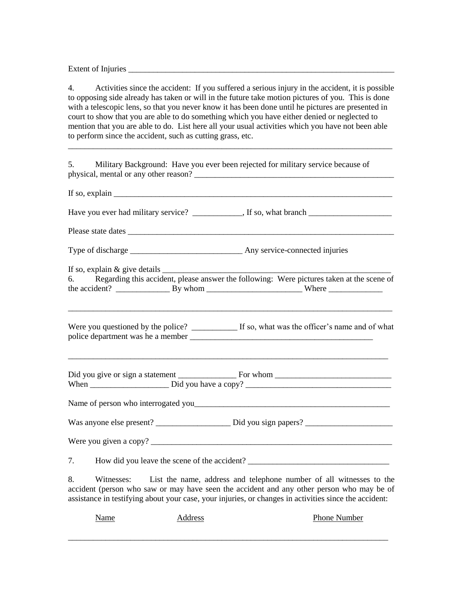Extent of Injuries

4. Activities since the accident: If you suffered a serious injury in the accident, it is possible to opposing side already has taken or will in the future take motion pictures of you. This is done with a telescopic lens, so that you never know it has been done until he pictures are presented in court to show that you are able to do something which you have either denied or neglected to mention that you are able to do. List here all your usual activities which you have not been able to perform since the accident, such as cutting grass, etc.

\_\_\_\_\_\_\_\_\_\_\_\_\_\_\_\_\_\_\_\_\_\_\_\_\_\_\_\_\_\_\_\_\_\_\_\_\_\_\_\_\_\_\_\_\_\_\_\_\_\_\_\_\_\_\_\_\_\_\_\_\_\_\_\_\_\_\_\_\_\_\_\_\_\_\_\_\_\_

5. Military Background: Have you ever been rejected for military service because of physical, mental or any other reason? \_\_\_\_\_\_\_\_\_\_\_\_\_\_\_\_\_\_\_\_\_\_\_\_\_\_\_\_\_\_\_\_\_\_\_\_\_\_\_\_\_\_\_\_\_\_\_\_ If so, explain  $\frac{1}{\sqrt{1-\frac{1}{2}}\sqrt{1-\frac{1}{2}}\left(\frac{1}{2}-\frac{1}{2}\right)}$ Have you ever had military service? \_\_\_\_\_\_\_\_\_\_, If so, what branch \_\_\_\_\_\_\_\_\_\_\_\_\_ Please state dates \_\_\_\_\_\_\_\_\_\_\_\_\_\_\_\_\_\_\_\_\_\_\_\_\_\_\_\_\_\_\_\_\_\_\_\_\_\_\_\_\_\_\_\_\_\_\_\_\_\_\_\_\_\_\_\_\_\_\_\_\_\_\_\_ Type of discharge Type of discharge Any service-connected injuries If so, explain  $&$  give details  $\frac{ }{ }$ 6. Regarding this accident, please answer the following: Were pictures taken at the scene of the accident?  $\frac{1}{\sqrt{2\pi}}$  By whom  $\frac{1}{\sqrt{2\pi}}$  Where  $\frac{1}{\sqrt{2\pi}}$ \_\_\_\_\_\_\_\_\_\_\_\_\_\_\_\_\_\_\_\_\_\_\_\_\_\_\_\_\_\_\_\_\_\_\_\_\_\_\_\_\_\_\_\_\_\_\_\_\_\_\_\_\_\_\_\_\_\_\_\_\_\_\_\_\_\_\_\_\_\_\_\_\_\_\_\_\_\_ Were you questioned by the police? \_\_\_\_\_\_\_\_\_\_\_\_ If so, what was the officer's name and of what police department was he a member \_\_\_\_\_\_\_\_\_\_\_\_\_\_\_\_\_\_\_\_\_\_\_\_\_\_\_\_\_\_\_\_\_\_\_\_\_\_\_\_\_\_\_\_\_\_\_\_\_\_\_\_\_\_\_\_\_\_\_\_\_\_\_\_\_\_\_\_\_\_\_\_\_\_\_\_\_ Did you give or sign a statement \_\_\_\_\_\_\_\_\_\_\_\_\_\_ For whom \_\_\_\_\_\_\_\_\_\_\_\_\_\_\_\_\_\_\_\_\_\_\_\_\_\_\_\_ When \_\_\_\_\_\_\_\_\_\_\_\_\_\_\_\_\_\_\_ Did you have a copy? \_\_\_\_\_\_\_\_\_\_\_\_\_\_\_\_\_\_\_\_\_\_\_\_\_\_\_\_\_\_\_\_\_\_\_ Name of person who interrogated you\_\_\_\_\_\_\_\_\_\_\_\_\_\_\_\_\_\_\_\_\_\_\_\_\_\_\_\_\_\_\_\_\_\_\_\_\_\_\_\_\_\_\_\_\_\_\_ Was anyone else present? Did you sign papers? Were you given a copy? 7. How did you leave the scene of the accident? \_\_\_\_\_\_\_\_\_\_\_\_\_\_\_\_\_\_\_\_\_\_\_\_\_\_\_\_\_\_\_\_ 8. Witnesses: List the name, address and telephone number of all witnesses to the

accident (person who saw or may have seen the accident and any other person who may be of assistance in testifying about your case, your injuries, or changes in activities since the accident:

Name Address Address Phone Number \_\_\_\_\_\_\_\_\_\_\_\_\_\_\_\_\_\_\_\_\_\_\_\_\_\_\_\_\_\_\_\_\_\_\_\_\_\_\_\_\_\_\_\_\_\_\_\_\_\_\_\_\_\_\_\_\_\_\_\_\_\_\_\_\_\_\_\_\_\_\_\_\_\_\_\_\_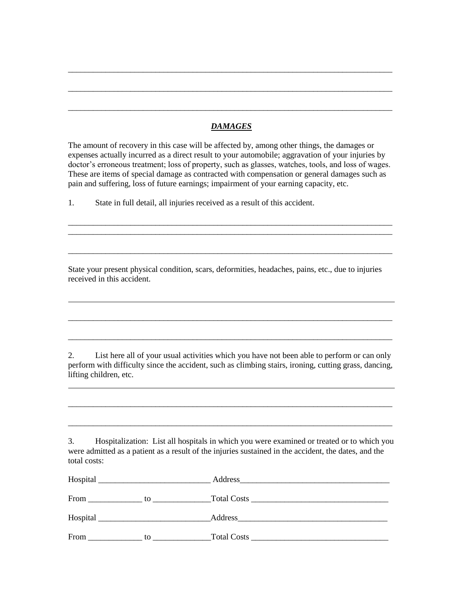### *DAMAGES*

\_\_\_\_\_\_\_\_\_\_\_\_\_\_\_\_\_\_\_\_\_\_\_\_\_\_\_\_\_\_\_\_\_\_\_\_\_\_\_\_\_\_\_\_\_\_\_\_\_\_\_\_\_\_\_\_\_\_\_\_\_\_\_\_\_\_\_\_\_\_\_\_\_\_\_\_\_\_

\_\_\_\_\_\_\_\_\_\_\_\_\_\_\_\_\_\_\_\_\_\_\_\_\_\_\_\_\_\_\_\_\_\_\_\_\_\_\_\_\_\_\_\_\_\_\_\_\_\_\_\_\_\_\_\_\_\_\_\_\_\_\_\_\_\_\_\_\_\_\_\_\_\_\_\_\_\_

\_\_\_\_\_\_\_\_\_\_\_\_\_\_\_\_\_\_\_\_\_\_\_\_\_\_\_\_\_\_\_\_\_\_\_\_\_\_\_\_\_\_\_\_\_\_\_\_\_\_\_\_\_\_\_\_\_\_\_\_\_\_\_\_\_\_\_\_\_\_\_\_\_\_\_\_\_\_

The amount of recovery in this case will be affected by, among other things, the damages or expenses actually incurred as a direct result to your automobile; aggravation of your injuries by doctor's erroneous treatment; loss of property, such as glasses, watches, tools, and loss of wages. These are items of special damage as contracted with compensation or general damages such as pain and suffering, loss of future earnings; impairment of your earning capacity, etc.

\_\_\_\_\_\_\_\_\_\_\_\_\_\_\_\_\_\_\_\_\_\_\_\_\_\_\_\_\_\_\_\_\_\_\_\_\_\_\_\_\_\_\_\_\_\_\_\_\_\_\_\_\_\_\_\_\_\_\_\_\_\_\_\_\_\_\_\_\_\_\_\_\_\_\_\_\_\_ \_\_\_\_\_\_\_\_\_\_\_\_\_\_\_\_\_\_\_\_\_\_\_\_\_\_\_\_\_\_\_\_\_\_\_\_\_\_\_\_\_\_\_\_\_\_\_\_\_\_\_\_\_\_\_\_\_\_\_\_\_\_\_\_\_\_\_\_\_\_\_\_\_\_\_\_\_\_

\_\_\_\_\_\_\_\_\_\_\_\_\_\_\_\_\_\_\_\_\_\_\_\_\_\_\_\_\_\_\_\_\_\_\_\_\_\_\_\_\_\_\_\_\_\_\_\_\_\_\_\_\_\_\_\_\_\_\_\_\_\_\_\_\_\_\_\_\_\_\_\_\_\_\_\_\_\_

1. State in full detail, all injuries received as a result of this accident.

State your present physical condition, scars, deformities, headaches, pains, etc., due to injuries received in this accident.

2. List here all of your usual activities which you have not been able to perform or can only perform with difficulty since the accident, such as climbing stairs, ironing, cutting grass, dancing, lifting children, etc.

\_\_\_\_\_\_\_\_\_\_\_\_\_\_\_\_\_\_\_\_\_\_\_\_\_\_\_\_\_\_\_\_\_\_\_\_\_\_\_\_\_\_\_\_\_\_\_\_\_\_\_\_\_\_\_\_\_\_\_\_\_\_\_\_\_\_\_\_\_\_\_\_\_\_\_\_\_\_

\_\_\_\_\_\_\_\_\_\_\_\_\_\_\_\_\_\_\_\_\_\_\_\_\_\_\_\_\_\_\_\_\_\_\_\_\_\_\_\_\_\_\_\_\_\_\_\_\_\_\_\_\_\_\_\_\_\_\_\_\_\_\_\_\_\_\_\_\_\_\_\_\_\_\_\_\_\_

\_\_\_\_\_\_\_\_\_\_\_\_\_\_\_\_\_\_\_\_\_\_\_\_\_\_\_\_\_\_\_\_\_\_\_\_\_\_\_\_\_\_\_\_\_\_\_\_\_\_\_\_\_\_\_\_\_\_\_\_\_\_\_\_\_\_\_\_\_\_\_\_\_\_\_\_\_\_

\_\_\_\_\_\_\_\_\_\_\_\_\_\_\_\_\_\_\_\_\_\_\_\_\_\_\_\_\_\_\_\_\_\_\_\_\_\_\_\_\_\_\_\_\_\_\_\_\_\_\_\_\_\_\_\_\_\_\_\_\_\_\_\_\_\_\_\_\_\_\_\_\_\_\_\_\_\_

3. Hospitalization: List all hospitals in which you were examined or treated or to which you were admitted as a patient as a result of the injuries sustained in the accident, the dates, and the total costs:

| Hospital   | Address                 |  |  |
|------------|-------------------------|--|--|
| From<br>to | Total Costs Total Costs |  |  |
| Hospital   | Address                 |  |  |
| From<br>to | <b>Total Costs</b>      |  |  |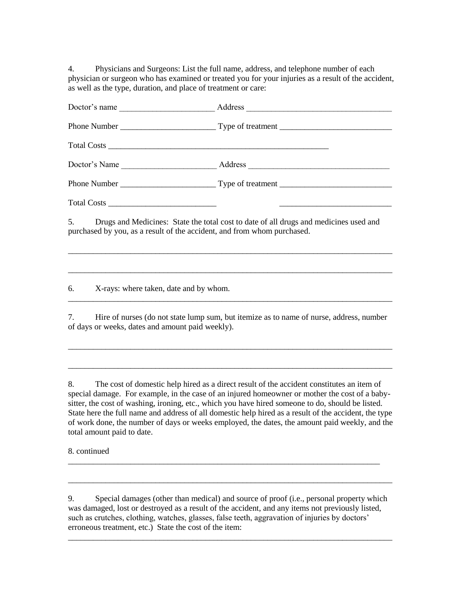4. Physicians and Surgeons: List the full name, address, and telephone number of each physician or surgeon who has examined or treated you for your injuries as a result of the accident, as well as the type, duration, and place of treatment or care:

| Doctor's name                                    | Address                                                                                                                                                             |                                                                                                                                                                                                                                      |
|--------------------------------------------------|---------------------------------------------------------------------------------------------------------------------------------------------------------------------|--------------------------------------------------------------------------------------------------------------------------------------------------------------------------------------------------------------------------------------|
|                                                  |                                                                                                                                                                     |                                                                                                                                                                                                                                      |
|                                                  |                                                                                                                                                                     |                                                                                                                                                                                                                                      |
|                                                  |                                                                                                                                                                     |                                                                                                                                                                                                                                      |
|                                                  |                                                                                                                                                                     |                                                                                                                                                                                                                                      |
| $Total Costs \_\_$                               |                                                                                                                                                                     | <u> 1989 - Johann John Harry Harry Harry Harry Harry Harry Harry Harry Harry Harry Harry Harry Harry Harry Harry Harry Harry Harry Harry Harry Harry Harry Harry Harry Harry Harry Harry Harry Harry Harry Harry Harry Harry Har</u> |
|                                                  | 5. Drugs and Medicines: State the total cost to date of all drugs and medicines used and<br>purchased by you, as a result of the accident, and from whom purchased. |                                                                                                                                                                                                                                      |
| 6.<br>X-rays: where taken, date and by whom.     |                                                                                                                                                                     |                                                                                                                                                                                                                                      |
| of days or weeks, dates and amount paid weekly). | 7. Hire of nurses (do not state lump sum, but itemize as to name of nurse, address, number                                                                          |                                                                                                                                                                                                                                      |

8. The cost of domestic help hired as a direct result of the accident constitutes an item of special damage. For example, in the case of an injured homeowner or mother the cost of a babysitter, the cost of washing, ironing, etc., which you have hired someone to do, should be listed. State here the full name and address of all domestic help hired as a result of the accident, the type of work done, the number of days or weeks employed, the dates, the amount paid weekly, and the total amount paid to date.

\_\_\_\_\_\_\_\_\_\_\_\_\_\_\_\_\_\_\_\_\_\_\_\_\_\_\_\_\_\_\_\_\_\_\_\_\_\_\_\_\_\_\_\_\_\_\_\_\_\_\_\_\_\_\_\_\_\_\_\_\_\_\_\_\_\_\_\_\_\_\_\_\_\_\_\_\_\_

\_\_\_\_\_\_\_\_\_\_\_\_\_\_\_\_\_\_\_\_\_\_\_\_\_\_\_\_\_\_\_\_\_\_\_\_\_\_\_\_\_\_\_\_\_\_\_\_\_\_\_\_\_\_\_\_\_\_\_\_\_\_\_\_\_\_\_\_\_\_\_\_\_\_\_\_\_\_

8. continued

9. Special damages (other than medical) and source of proof (i.e., personal property which was damaged, lost or destroyed as a result of the accident, and any items not previously listed, such as crutches, clothing, watches, glasses, false teeth, aggravation of injuries by doctors' erroneous treatment, etc.) State the cost of the item:

\_\_\_\_\_\_\_\_\_\_\_\_\_\_\_\_\_\_\_\_\_\_\_\_\_\_\_\_\_\_\_\_\_\_\_\_\_\_\_\_\_\_\_\_\_\_\_\_\_\_\_\_\_\_\_\_\_\_\_\_\_\_\_\_\_\_\_\_\_\_\_\_\_\_\_\_\_\_

\_\_\_\_\_\_\_\_\_\_\_\_\_\_\_\_\_\_\_\_\_\_\_\_\_\_\_\_\_\_\_\_\_\_\_\_\_\_\_\_\_\_\_\_\_\_\_\_\_\_\_\_\_\_\_\_\_\_\_\_\_\_\_\_\_\_\_\_\_\_\_\_\_\_\_\_\_\_

\_\_\_\_\_\_\_\_\_\_\_\_\_\_\_\_\_\_\_\_\_\_\_\_\_\_\_\_\_\_\_\_\_\_\_\_\_\_\_\_\_\_\_\_\_\_\_\_\_\_\_\_\_\_\_\_\_\_\_\_\_\_\_\_\_\_\_\_\_\_\_\_\_\_\_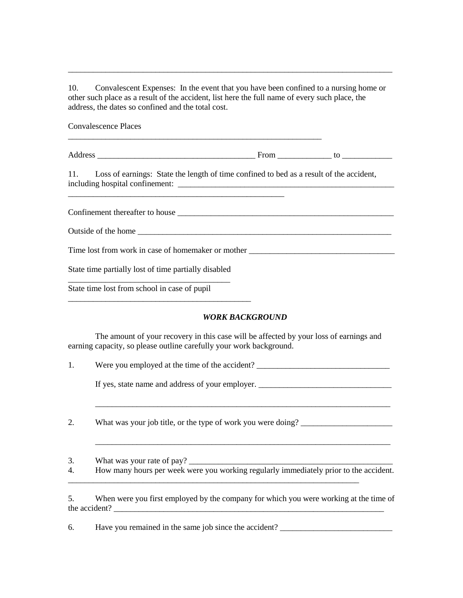10. Convalescent Expenses: In the event that you have been confined to a nursing home or other such place as a result of the accident, list here the full name of every such place, the address, the dates so confined and the total cost.

\_\_\_\_\_\_\_\_\_\_\_\_\_\_\_\_\_\_\_\_\_\_\_\_\_\_\_\_\_\_\_\_\_\_\_\_\_\_\_\_\_\_\_\_\_\_\_\_\_\_\_\_\_\_\_\_\_\_\_\_\_\_\_\_\_\_\_\_\_\_\_\_\_\_\_\_\_\_

Convalescence Places

Address to the contract of the contract of the contract of the contract of the contract of the contract of the contract of the contract of the contract of the contract of the contract of the contract of the contract of the

11. Loss of earnings: State the length of time confined to bed as a result of the accident, including hospital confinement:

\_\_\_\_\_\_\_\_\_\_\_\_\_\_\_\_\_\_\_\_\_\_\_\_\_\_\_\_\_\_\_\_\_\_\_\_\_\_\_\_\_\_\_\_\_\_\_\_\_\_\_\_\_\_\_\_\_\_\_\_\_

Confinement thereafter to house \_\_\_\_\_\_\_\_\_\_\_\_\_\_\_\_\_\_\_\_\_\_\_\_\_\_\_\_\_\_\_\_\_\_\_\_\_\_\_\_\_\_\_\_\_\_\_\_\_\_\_\_

Outside of the home \_\_\_\_\_\_\_\_\_\_\_\_\_\_\_\_\_\_\_\_\_\_\_\_\_\_\_\_\_\_\_\_\_\_\_\_\_\_\_\_\_\_\_\_\_\_\_\_\_\_\_\_\_\_\_\_\_\_\_\_\_

Time lost from work in case of homemaker or mother

State time partially lost of time partially disabled \_\_\_\_\_\_\_\_\_\_\_\_\_\_\_\_\_\_\_\_\_\_\_\_\_\_\_\_\_\_\_\_\_\_\_\_\_\_\_

\_\_\_\_\_\_\_\_\_\_\_\_\_\_\_\_\_\_\_\_\_\_\_\_\_\_\_\_\_\_\_\_\_\_\_\_\_\_\_\_\_\_\_\_

State time lost from school in case of pupil

#### *WORK BACKGROUND*

\_\_\_\_\_\_\_\_\_\_\_\_\_\_\_\_\_\_\_\_\_\_\_\_\_\_\_\_\_\_\_\_\_\_\_\_\_\_\_\_\_\_\_\_\_\_\_\_\_\_\_\_\_\_\_\_\_\_\_\_\_\_\_\_\_\_\_\_\_\_\_

\_\_\_\_\_\_\_\_\_\_\_\_\_\_\_\_\_\_\_\_\_\_\_\_\_\_\_\_\_\_\_\_\_\_\_\_\_\_\_\_\_\_\_\_\_\_\_\_\_\_\_\_\_\_\_\_\_\_\_\_\_\_\_\_\_\_\_\_\_\_\_

The amount of your recovery in this case will be affected by your loss of earnings and earning capacity, so please outline carefully your work background.

| Were you employed at the time of the accident? |  |
|------------------------------------------------|--|
|                                                |  |

If yes, state name and address of your employer.

2. What was your job title, or the type of work you were doing?

3. What was your rate of pay?

4. How many hours per week were you working regularly immediately prior to the accident.

\_\_\_\_\_\_\_\_\_\_\_\_\_\_\_\_\_\_\_\_\_\_\_\_\_\_\_\_\_\_\_\_\_\_\_\_\_\_\_\_\_\_\_\_\_\_\_\_\_\_\_\_\_\_\_\_\_\_\_\_\_\_\_\_\_\_\_\_\_\_

5. When were you first employed by the company for which you were working at the time of the accident?

6. Have you remained in the same job since the accident? \_\_\_\_\_\_\_\_\_\_\_\_\_\_\_\_\_\_\_\_\_\_\_\_